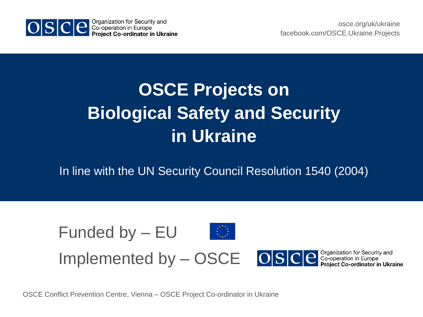

### **OSCE Projects on Biological Safety and Security in Ukraine**

In line with the UN Security Council Resolution 1540 (2004)



OSCE Conflict Prevention Centre, Vienna – OSCE Project Co-ordinator in Ukraine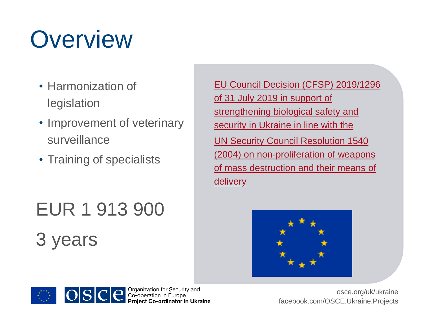# **Overview**

- Harmonization of legislation
- Improvement of veterinary surveillance
- Training of specialists

## EUR 1 913 900 3 years

EU Council Decision (CFSP) 2019/1296 of 31 July 2019 in support of strengthening biological safety and security in Ukraine in line with the UN Security Council Resolution 1540 [\(2004\) on non-proliferation of weapons](https://eur-lex.europa.eu/legal-content/EN/TXT/PDF/?uri=CELEX:32019D1296&from=EN)  of mass destruction and their means of delivery





Organization for Security and<br>Co-operation in Europe **Project Co-ordinator in Ukraine**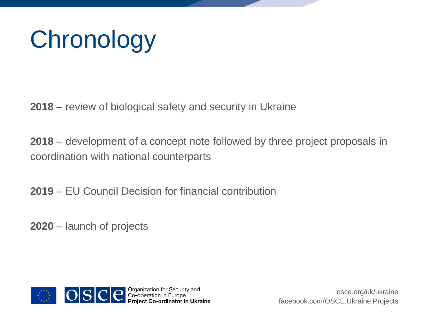# **Chronology**

**2018** – review of biological safety and security in Ukraine

**2018** – development of a concept note followed by three project proposals in coordination with national counterparts

**2019** – EU Council Decision for financial contribution

**2020** – launch of projects

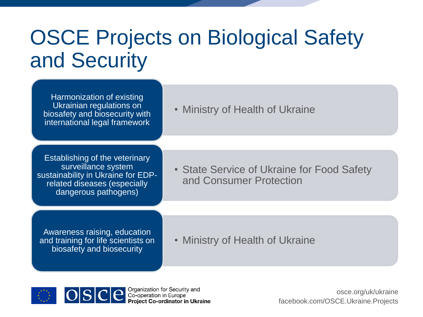### OSCE Projects on Biological Safety and Security

Harmonization of existing Ukrainian regulations on biosafety and biosecurity with international legal framework

• Ministry of Health of Ukraine

**Establishing of the veterinary** surveillance system sustainability in Ukraine for EDPrelated diseases (especially dangerous pathogens)

• State Service of Ukraine for Food Safety and Consumer Protection

Awareness raising, education and training for life scientists on biosafety and biosecurity

• Ministry of Health of Ukraine





Organization for Security and Co-operation in Europe **Project Co-ordinator in Ukraine**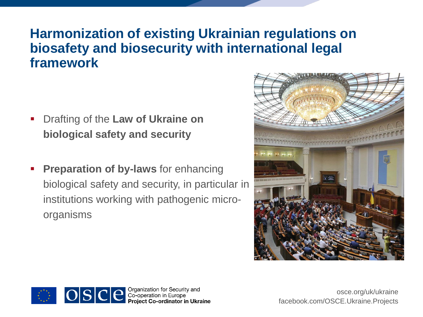#### **Harmonization of existing Ukrainian regulations on biosafety and biosecurity with international legal framework**

- Drafting of the **Law of Ukraine on biological safety and security**
- **Preparation of by-laws** for enhancing biological safety and security, in particular in institutions working with pathogenic microorganisms





**C** Organization for Security and<br>Co-operation in Europe<br>**Project Co-ordinator in Ukraine**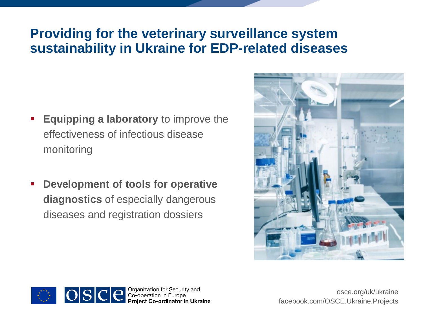#### **Providing for the veterinary surveillance system sustainability in Ukraine for EDP-related diseases**

- **Equipping a laboratory** to improve the effectiveness of infectious disease monitoring
- **Development of tools for operative diagnostics** of especially dangerous diseases and registration dossiers





OSCE Sco-operation for Security and<br>Project Co-operation in Europe<br>Project Co-ordinator in Ukraine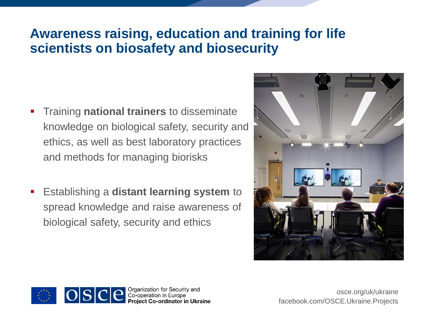### **Awareness raising, education and training for life scientists on biosafety and biosecurity**

- Training **national trainers** to disseminate knowledge on biological safety, security and ethics, as well as best laboratory practices and methods for managing biorisks
- Establishing a **distant learning system** to spread knowledge and raise awareness of biological safety, security and ethics





Organization for Security and Co-operation in Europe **Project Co-ordinator in Ukraine**